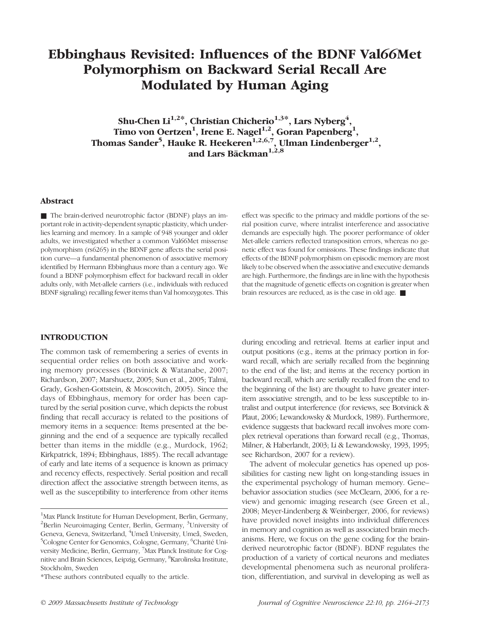# Ebbinghaus Revisited: Influences of the BDNF Val66Met Polymorphism on Backward Serial Recall Are Modulated by Human Aging

Shu-Chen Li<sup>1,2\*</sup>, Christian Chicherio<sup>1,3\*</sup>, Lars Nyberg<sup>4</sup>, Timo von Oertzen<sup>1</sup>, Irene E. Nagel<sup>1,2</sup>, Goran Papenberg<sup>1</sup>, Thomas Sander<sup>5</sup>, Hauke R. Heekeren<sup>1,2,6,7</sup>, Ulman Lindenberger<sup>1,2</sup>, and Lars Bäckman<sup>1,2,8</sup>

# Abstract

■ The brain-derived neurotrophic factor (BDNF) plays an important role in activity-dependent synaptic plasticity, which underlies learning and memory. In a sample of 948 younger and older adults, we investigated whether a common Val66Met missense polymorphism (rs6265) in the BDNF gene affects the serial position curve—a fundamental phenomenon of associative memory identified by Hermann Ebbinghaus more than a century ago. We found a BDNF polymorphism effect for backward recall in older adults only, with Met-allele carriers (i.e., individuals with reduced BDNF signaling) recalling fewer items than Val homozygotes. This

### INTRODUCTION

The common task of remembering a series of events in sequential order relies on both associative and working memory processes (Botvinick & Watanabe, 2007; Richardson, 2007; Marshuetz, 2005; Sun et al., 2005; Talmi, Grady, Goshen-Gottstein, & Moscovitch, 2005). Since the days of Ebbinghaus, memory for order has been captured by the serial position curve, which depicts the robust finding that recall accuracy is related to the positions of memory items in a sequence: Items presented at the beginning and the end of a sequence are typically recalled better than items in the middle (e.g., Murdock, 1962; Kirkpatrick, 1894; Ebbinghaus, 1885). The recall advantage of early and late items of a sequence is known as primacy and recency effects, respectively. Serial position and recall direction affect the associative strength between items, as well as the susceptibility to interference from other items effect was specific to the primacy and middle portions of the serial position curve, where intralist interference and associative demands are especially high. The poorer performance of older Met-allele carriers reflected transposition errors, whereas no genetic effect was found for omissions. These findings indicate that effects of the BDNF polymorphism on episodic memory are most likely to be observed when the associative and executive demands are high. Furthermore, the findings are in line with the hypothesis that the magnitude of genetic effects on cognition is greater when brain resources are reduced, as is the case in old age. ■

during encoding and retrieval. Items at earlier input and output positions (e.g., items at the primacy portion in forward recall, which are serially recalled from the beginning to the end of the list; and items at the recency portion in backward recall, which are serially recalled from the end to the beginning of the list) are thought to have greater interitem associative strength, and to be less susceptible to intralist and output interference (for reviews, see Botvinick & Plaut, 2006; Lewandowsky & Murdock, 1989). Furthermore, evidence suggests that backward recall involves more complex retrieval operations than forward recall (e.g., Thomas, Milner, & Haberlandt, 2003; Li & Lewandowsky, 1993, 1995; see Richardson, 2007 for a review).

The advent of molecular genetics has opened up possibilities for casting new light on long-standing issues in the experimental psychology of human memory. Gene– behavior association studies (see McClearn, 2006, for a review) and genomic imaging research (see Green et al., 2008; Meyer-Lindenberg & Weinberger, 2006, for reviews) have provided novel insights into individual differences in memory and cognition as well as associated brain mechanisms. Here, we focus on the gene coding for the brainderived neurotrophic factor (BDNF). BDNF regulates the production of a variety of cortical neurons and mediates developmental phenomena such as neuronal proliferation, differentiation, and survival in developing as well as

<sup>&</sup>lt;sup>1</sup>Max Planck Institute for Human Development, Berlin, Germany, <sup>2</sup>Berlin Neuroimaging Center, Berlin, Germany, <sup>3</sup>University of Geneva, Geneva, Switzerland, <sup>4</sup>Umeå University, Umeå, Sweden, Cologne Center for Genomics, Cologne, Germany, <sup>6</sup>Charité University Medicine, Berlin, Germany, <sup>7</sup> Max Planck Institute for Cognitive and Brain Sciences, Leipzig, Germany, <sup>8</sup> Karolinska Institute, Stockholm, Sweden

<sup>\*</sup>These authors contributed equally to the article.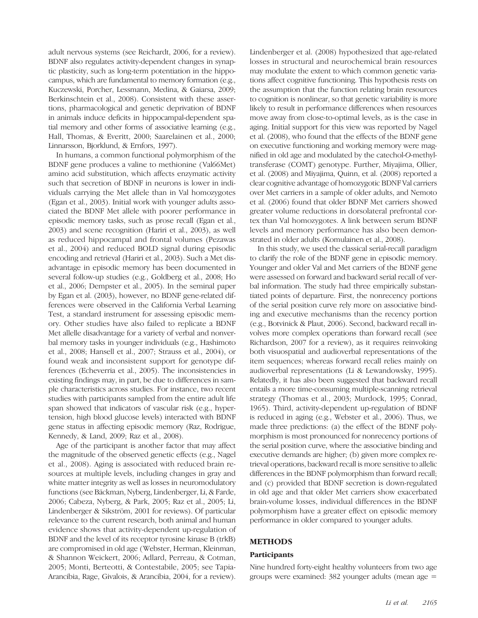adult nervous systems (see Reichardt, 2006, for a review). BDNF also regulates activity-dependent changes in synaptic plasticity, such as long-term potentiation in the hippocampus, which are fundamental to memory formation (e.g., Kuczewski, Porcher, Lessmann, Medina, & Gaiarsa, 2009; Berkinschtein et al., 2008). Consistent with these assertions, pharmacological and genetic deprivation of BDNF in animals induce deficits in hippocampal-dependent spatial memory and other forms of associative learning (e.g., Hall, Thomas, & Everitt, 2000; Saarelainen et al., 2000; Linnarsson, Bjorklund, & Ernfors, 1997).

In humans, a common functional polymorphism of the BDNF gene produces a valine to methionine (Val66Met) amino acid substitution, which affects enzymatic activity such that secretion of BDNF in neurons is lower in individuals carrying the Met allele than in Val homozygotes (Egan et al., 2003). Initial work with younger adults associated the BDNF Met allele with poorer performance in episodic memory tasks, such as prose recall (Egan et al., 2003) and scene recognition (Hariri et al., 2003), as well as reduced hippocampal and frontal volumes (Pezawas et al., 2004) and reduced BOLD signal during episodic encoding and retrieval (Hariri et al., 2003). Such a Met disadvantage in episodic memory has been documented in several follow-up studies (e.g., Goldberg et al., 2008; Ho et al., 2006; Dempster et al., 2005). In the seminal paper by Egan et al. (2003), however, no BDNF gene-related differences were observed in the California Verbal Learning Test, a standard instrument for assessing episodic memory. Other studies have also failed to replicate a BDNF Met allelle disadvantage for a variety of verbal and nonverbal memory tasks in younger individuals (e.g., Hashimoto et al., 2008; Hansell et al., 2007; Strauss et al., 2004), or found weak and inconsistent support for genotype differences (Echeverria et al., 2005). The inconsistencies in existing findings may, in part, be due to differences in sample characteristics across studies. For instance, two recent studies with participants sampled from the entire adult life span showed that indicators of vascular risk (e.g., hypertension, high blood glucose levels) interacted with BDNF gene status in affecting episodic memory (Raz, Rodrigue, Kennedy, & Land, 2009; Raz et al., 2008).

Age of the participant is another factor that may affect the magnitude of the observed genetic effects (e.g., Nagel et al., 2008). Aging is associated with reduced brain resources at multiple levels, including changes in gray and white matter integrity as well as losses in neuromodulatory functions (see Bäckman, Nyberg, Lindenberger, Li, & Farde, 2006; Cabeza, Nyberg, & Park, 2005; Raz et al., 2005; Li, Lindenberger & Sikström, 2001 for reviews). Of particular relevance to the current research, both animal and human evidence shows that activity-dependent up-regulation of BDNF and the level of its receptor tyrosine kinase B (trkB) are compromised in old age (Webster, Herman, Kleinman, & Shannon Weickert, 2006; Adlard, Perreau, & Cotman, 2005; Monti, Berteotti, & Contestabile, 2005; see Tapia-Arancibia, Rage, Givalois, & Arancibia, 2004, for a review).

Lindenberger et al. (2008) hypothesized that age-related losses in structural and neurochemical brain resources may modulate the extent to which common genetic variations affect cognitive functioning. This hypothesis rests on the assumption that the function relating brain resources to cognition is nonlinear, so that genetic variability is more likely to result in performance differences when resources move away from close-to-optimal levels, as is the case in aging. Initial support for this view was reported by Nagel et al. (2008), who found that the effects of the BDNF gene on executive functioning and working memory were magnified in old age and modulated by the catechol-O-methyltransferase (COMT) genotype. Further, Miyajima, Ollier, et al. (2008) and Miyajima, Quinn, et al. (2008) reported a clear cognitive advantage of homozygotic BDNF Val carriers over Met carriers in a sample of older adults, and Nemoto et al. (2006) found that older BDNF Met carriers showed greater volume reductions in dorsolateral prefrontal cortex than Val homozygotes. A link between serum BDNF levels and memory performance has also been demonstrated in older adults (Komulainen et al., 2008).

In this study, we used the classical serial-recall paradigm to clarify the role of the BDNF gene in episodic memory. Younger and older Val and Met carriers of the BDNF gene were assessed on forward and backward serial recall of verbal information. The study had three empirically substantiated points of departure. First, the nonrecency portions of the serial position curve rely more on associative binding and executive mechanisms than the recency portion (e.g., Botvinick & Plaut, 2006). Second, backward recall involves more complex operations than forward recall (see Richardson, 2007 for a review), as it requires reinvoking both visuospatial and audioverbal representations of the item sequences; whereas forward recall relies mainly on audioverbal representations (Li & Lewandowsky, 1995). Relatedly, it has also been suggested that backward recall entails a more time-consuming multiple-scanning retrieval strategy (Thomas et al., 2003; Murdock, 1995; Conrad, 1965). Third, activity-dependent up-regulation of BDNF is reduced in aging (e.g., Webster et al., 2006). Thus, we made three predictions: (a) the effect of the BDNF polymorphism is most pronounced for nonrecency portions of the serial position curve, where the associative binding and executive demands are higher; (b) given more complex retrieval operations, backward recall is more sensitive to allelic differences in the BDNF polymorphism than forward recall; and (c) provided that BDNF secretion is down-regulated in old age and that older Met carriers show exacerbated brain-volume losses, individual differences in the BDNF polymorphism have a greater effect on episodic memory performance in older compared to younger adults.

# METHODS

#### **Participants**

Nine hundred forty-eight healthy volunteers from two age groups were examined: 382 younger adults (mean age =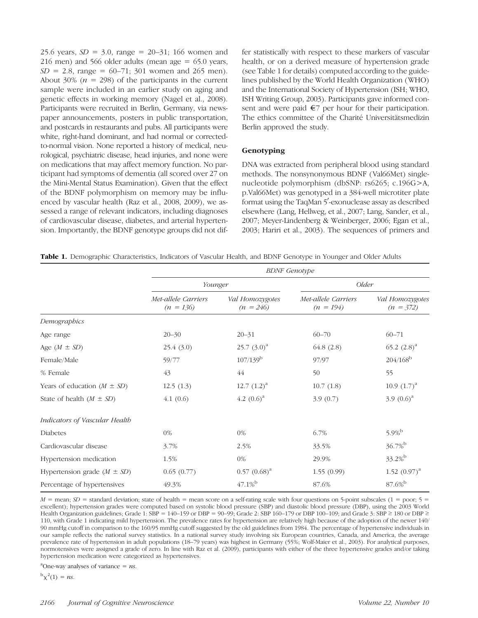25.6 years,  $SD = 3.0$ , range = 20–31; 166 women and 216 men) and 566 older adults (mean age  $= 65.0$  years,  $SD = 2.8$ , range = 60–71; 301 women and 265 men). About 30% ( $n = 298$ ) of the participants in the current sample were included in an earlier study on aging and genetic effects in working memory (Nagel et al., 2008). Participants were recruited in Berlin, Germany, via newspaper announcements, posters in public transportation, and postcards in restaurants and pubs. All participants were white, right-hand dominant, and had normal or correctedto-normal vision. None reported a history of medical, neurological, psychiatric disease, head injuries, and none were on medications that may affect memory function. No participant had symptoms of dementia (all scored over 27 on the Mini-Mental Status Examination). Given that the effect of the BDNF polymorphism on memory may be influenced by vascular health (Raz et al., 2008, 2009), we assessed a range of relevant indicators, including diagnoses of cardiovascular disease, diabetes, and arterial hypertension. Importantly, the BDNF genotype groups did not differ statistically with respect to these markers of vascular health, or on a derived measure of hypertension grade (see Table 1 for details) computed according to the guidelines published by the World Health Organization (WHO) and the International Society of Hypertension (ISH; WHO, ISH Writing Group, 2003). Participants gave informed consent and were paid  $\epsilon$ 7 per hour for their participation. The ethics committee of the Charité Universitätsmedizin Berlin approved the study.

# Genotyping

DNA was extracted from peripheral blood using standard methods. The nonsynonymous BDNF (Val66Met) singlenucleotide polymorphism (dbSNP: rs6265; c.196G>A, p.Val66Met) was genotyped in a 384-well microtiter plate format using the TaqMan 5'-exonuclease assay as described elsewhere (Lang, Hellweg, et al., 2007; Lang, Sander, et al., 2007; Meyer-Lindenberg & Weinberger, 2006; Egan et al., 2003; Hariri et al., 2003). The sequences of primers and

Table 1. Demographic Characteristics, Indicators of Vascular Health, and BDNF Genotype in Younger and Older Adults

|                                 | <b>BDNF</b> Genotype               |                                |                                    |                                |  |
|---------------------------------|------------------------------------|--------------------------------|------------------------------------|--------------------------------|--|
|                                 | Younger                            |                                | Older                              |                                |  |
|                                 | Met-allele Carriers<br>$(n = 136)$ | Val Homozygotes<br>$(n = 246)$ | Met-allele Carriers<br>$(n = 194)$ | Val Homozygotes<br>$(n = 372)$ |  |
| Demographics                    |                                    |                                |                                    |                                |  |
| Age range                       | $20 - 30$                          | $20 - 31$                      | $60 - 70$                          | $60 - 71$                      |  |
| Age $(M \pm SD)$                | 25.4(3.0)                          | 25.7 $(3.0)^a$                 | 64.8(2.8)                          | 65.2 $(2.8)^a$                 |  |
| Female/Male                     | 59/77                              | $107/139^{\rm b}$              | 97/97                              | $204/168^{\rm b}$              |  |
| % Female                        | 43                                 | 44                             | 50                                 | 55                             |  |
| Years of education $(M \pm SD)$ | 12.5(1.3)                          | $12.7 (1.2)^{a}$               | 10.7(1.8)                          | 10.9 $(1.7)^a$                 |  |
| State of health $(M \pm SD)$    | 4.1(0.6)                           | 4.2 $(0.6)^a$                  | 3.9(0.7)                           | 3.9 $(0.6)^a$                  |  |
| Indicators of Vascular Health   |                                    |                                |                                    |                                |  |
| <b>Diabetes</b>                 | 0%                                 | 0%                             | 6.7%                               | $5.9\%$ <sup>b</sup>           |  |
| Cardiovascular disease          | 3.7%                               | 2.5%                           | 33.5%                              | $36.7\%$ <sup>b</sup>          |  |
| Hypertension medication         | 1.5%                               | 0%                             | 29.9%                              | $33.2%^{b}$                    |  |
| Hypertension grade $(M \pm SD)$ | 0.65(0.77)                         | $0.57 (0.68)^{a}$              | 1.55(0.99)                         | 1.52 $(0.97)^{a}$              |  |
| Percentage of hypertensives     | 49.3%                              | $47.1\%$ <sup>b</sup>          | 87.6%                              | $87.6\%$ <sup>b</sup>          |  |

 $M =$  mean;  $SD =$  standard deviation; state of health = mean score on a self-rating scale with four questions on 5-point subscales (1 = poor; 5 = excellent); hypertension grades were computed based on systolic blood pressure (SBP) and diastolic blood pressure (DBP), using the 2003 World Health Organization guidelines; Grade 1: SBP = 140–159 or DBP = 90–99; Grade 2: SBP 160–179 or DBP 100–109; and Grade 3: SBP ≥ 180 or DBP ≥ 110, with Grade 1 indicating mild hypertension. The prevalence rates for hypertension are relatively high because of the adoption of the newer 140/ 90 mmHg cutoff in comparison to the 160/95 mmHg cutoff suggested by the old guidelines from 1984. The percentage of hypertensive individuals in our sample reflects the national survey statistics. In a national survey study involving six European countries, Canada, and America, the average prevalence rate of hypertension in adult populations (18–79 years) was highest in Germany (55%; Wolf-Maier et al., 2003). For analytical purposes, normotensives were assigned a grade of zero. In line with Raz et al. (2009), participants with either of the three hypertensive grades and/or taking hypertension medication were categorized as hypertensives.

<sup>a</sup>One-way analyses of variance =  $ns$ .

 $^{b} \chi^{2}(1) = ns.$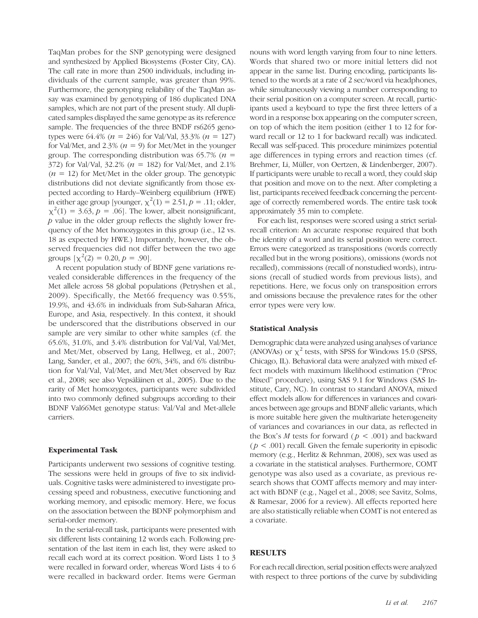TaqMan probes for the SNP genotyping were designed and synthesized by Applied Biosystems (Foster City, CA). The call rate in more than 2500 individuals, including individuals of the current sample, was greater than 99%. Furthermore, the genotyping reliability of the TaqMan assay was examined by genotyping of 186 duplicated DNA samples, which are not part of the present study. All duplicated samples displayed the same genotype as its reference sample. The frequencies of the three BNDF rs6265 genotypes were 64.4% ( $n = 246$ ) for Val/Val, 33.3% ( $n = 127$ ) for Val/Met, and 2.3% ( $n = 9$ ) for Met/Met in the younger group. The corresponding distribution was 65.7% ( $n =$ 372) for Val/Val, 32.2% ( $n = 182$ ) for Val/Met, and 2.1%  $(n = 12)$  for Met/Met in the older group. The genotypic distributions did not deviate significantly from those expected according to Hardy–Weinberg equilibrium (HWE) in either age group [younger,  $\chi^2(1) = 2.51$ ,  $p = .11$ ; older,  $\chi^2(1) = 3.63, p = .06$ ]. The lower, albeit nonsignificant,  *value in the older group reflects the slightly lower fre*quency of the Met homozygotes in this group (i.e., 12 vs. 18 as expected by HWE.) Importantly, however, the observed frequencies did not differ between the two age groups  $[\chi^2(2) = 0.20, p = .90].$ 

A recent population study of BDNF gene variations revealed considerable differences in the frequency of the Met allele across 58 global populations (Petryshen et al., 2009). Specifically, the Met66 frequency was 0.55%, 19.9%, and 43.6% in individuals from Sub-Saharan Africa, Europe, and Asia, respectively. In this context, it should be underscored that the distributions observed in our sample are very similar to other white samples (cf. the 65.6%, 31.0%, and 3.4% distribution for Val/ Val, Val/Met, and Met/Met, observed by Lang, Hellweg, et al., 2007; Lang, Sander, et al., 2007; the 60%, 34%, and 6% distribution for Val/Val, Val/Met, and Met/Met observed by Raz et al., 2008; see also Vepsäläinen et al., 2005). Due to the rarity of Met homozygotes, participants were subdivided into two commonly defined subgroups according to their BDNF Val66Met genotype status: Val/Val and Met-allele carriers.

## Experimental Task

Participants underwent two sessions of cognitive testing. The sessions were held in groups of five to six individuals. Cognitive tasks were administered to investigate processing speed and robustness, executive functioning and working memory, and episodic memory. Here, we focus on the association between the BDNF polymorphism and serial-order memory.

In the serial-recall task, participants were presented with six different lists containing 12 words each. Following presentation of the last item in each list, they were asked to recall each word at its correct position. Word Lists 1 to 3 were recalled in forward order, whereas Word Lists 4 to 6 were recalled in backward order. Items were German

nouns with word length varying from four to nine letters. Words that shared two or more initial letters did not appear in the same list. During encoding, participants listened to the words at a rate of 2 sec/word via headphones, while simultaneously viewing a number corresponding to their serial position on a computer screen. At recall, participants used a keyboard to type the first three letters of a word in a response box appearing on the computer screen, on top of which the item position (either 1 to 12 for forward recall or 12 to 1 for backward recall) was indicated. Recall was self-paced. This procedure minimizes potential age differences in typing errors and reaction times (cf. Brehmer, Li, Müller, von Oertzen, & Lindenberger, 2007). If participants were unable to recall a word, they could skip that position and move on to the next. After completing a list, participants received feedback concerning the percentage of correctly remembered words. The entire task took approximately 35 min to complete.

For each list, responses were scored using a strict serialrecall criterion: An accurate response required that both the identity of a word and its serial position were correct. Errors were categorized as transpositions (words correctly recalled but in the wrong positions), omissions (words not recalled), commissions (recall of nonstudied words), intrusions (recall of studied words from previous lists), and repetitions. Here, we focus only on transposition errors and omissions because the prevalence rates for the other error types were very low.

#### Statistical Analysis

Demographic data were analyzed using analyses of variance (ANOVAs) or  $\chi^2$  tests, with SPSS for Windows 15.0 (SPSS, Chicago, IL). Behavioral data were analyzed with mixed effect models with maximum likelihood estimation ("Proc Mixed" procedure), using SAS 9.1 for Windows (SAS Institute, Cary, NC). In contrast to standard ANOVA, mixed effect models allow for differences in variances and covariances between age groups and BDNF allelic variants, which is more suitable here given the multivariate heterogeneity of variances and covariances in our data, as reflected in the Box's M tests for forward ( $p < .001$ ) and backward  $(p < .001)$  recall. Given the female superiority in episodic memory (e.g., Herlitz & Rehnman, 2008), sex was used as a covariate in the statistical analyses. Furthermore, COMT genotype was also used as a covariate, as previous research shows that COMT affects memory and may interact with BDNF (e.g., Nagel et al., 2008; see Savitz, Solms, & Ramesar, 2006 for a review). All effects reported here are also statistically reliable when COMT is not entered as a covariate.

## **RESULTS**

For each recall direction, serial position effects were analyzed with respect to three portions of the curve by subdividing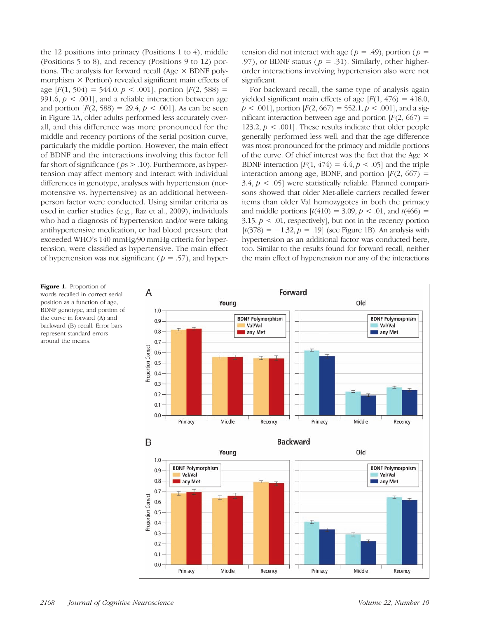the 12 positions into primacy (Positions 1 to 4), middle (Positions 5 to 8), and recency (Positions 9 to 12) portions. The analysis for forward recall (Age  $\times$  BDNF polymorphism  $\times$  Portion) revealed significant main effects of age  $[F(1, 504) = 544.0, p < .001]$ , portion  $[F(2, 588) =$ 991.6,  $p < .001$ ], and a reliable interaction between age and portion  $[F(2, 588) = 29.4, p < .001]$ . As can be seen in Figure 1A, older adults performed less accurately overall, and this difference was more pronounced for the middle and recency portions of the serial position curve, particularly the middle portion. However, the main effect of BDNF and the interactions involving this factor fell far short of significance ( $ps > .10$ ). Furthermore, as hypertension may affect memory and interact with individual differences in genotype, analyses with hypertension (normotensive vs. hypertensive) as an additional betweenperson factor were conducted. Using similar criteria as used in earlier studies (e.g., Raz et al., 2009), individuals who had a diagnosis of hypertension and/or were taking antihypertensive medication, or had blood pressure that exceeded WHO's 140 mmHg/90 mmHg criteria for hypertension, were classified as hypertensive. The main effect of hypertension was not significant ( $p = .57$ ), and hypertension did not interact with age ( $p = .49$ ), portion ( $p =$ .97), or BDNF status ( $p = .31$ ). Similarly, other higherorder interactions involving hypertension also were not significant.

For backward recall, the same type of analysis again yielded significant main effects of age  $[F(1, 476) = 418.0]$ ,  $p < .001$ , portion  $[F(2, 667) = 552.1, p < .001]$ , and a significant interaction between age and portion  $[F(2, 667) =$ 123.2,  $p < .001$ . These results indicate that older people generally performed less well, and that the age difference was most pronounced for the primacy and middle portions of the curve. Of chief interest was the fact that the Age × BDNF interaction  $[F(1, 474) = 4.4, p < .05]$  and the triple interaction among age, BDNF, and portion  $[F(2, 667) =$ 3.4,  $p < .05$ ] were statistically reliable. Planned comparisons showed that older Met-allele carriers recalled fewer items than older Val homozygotes in both the primacy and middle portions  $[t(410) = 3.09, p < .01,$  and  $t(466) =$ 3.15,  $p < 0.01$ , respectively, but not in the recency portion  $[t(378) = -1.32, p = .19]$  (see Figure 1B). An analysis with hypertension as an additional factor was conducted here, too. Similar to the results found for forward recall, neither the main effect of hypertension nor any of the interactions

Figure 1. Proportion of words recalled in correct serial position as a function of age, BDNF genotype, and portion of the curve in forward (A) and backward (B) recall. Error bars represent standard errors around the means.

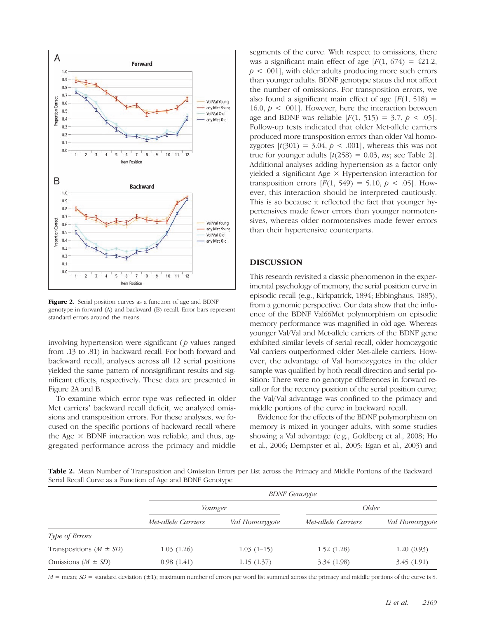

Figure 2. Serial position curves as a function of age and BDNF genotype in forward (A) and backward (B) recall. Error bars represent standard errors around the means.

involving hypertension were significant ( $p$  values ranged from .13 to .81) in backward recall. For both forward and backward recall, analyses across all 12 serial positions yielded the same pattern of nonsignificant results and significant effects, respectively. These data are presented in Figure 2A and B.

To examine which error type was reflected in older Met carriers' backward recall deficit, we analyzed omissions and transposition errors. For these analyses, we focused on the specific portions of backward recall where the Age  $\times$  BDNF interaction was reliable, and thus, aggregated performance across the primacy and middle

segments of the curve. With respect to omissions, there was a significant main effect of age  $[F(1, 674) = 421.2]$ ,  $p < .001$ , with older adults producing more such errors than younger adults. BDNF genotype status did not affect the number of omissions. For transposition errors, we also found a significant main effect of age  $[F(1, 518) =$ 16.0,  $p < .001$ . However, here the interaction between age and BDNF was reliable  $[F(1, 515) = 3.7, p < .05]$ . Follow-up tests indicated that older Met-allele carriers produced more transposition errors than older Val homozygotes  $[t(301) = 3.04, p < .001]$ , whereas this was not true for younger adults  $[t(258) = 0.03, ns;$  see Table 2]. Additional analyses adding hypertension as a factor only yielded a significant Age  $\times$  Hypertension interaction for transposition errors  $[F(1, 549) = 5.10, p < .05]$ . However, this interaction should be interpreted cautiously. This is so because it reflected the fact that younger hypertensives made fewer errors than younger normotensives, whereas older normotensives made fewer errors than their hypertensive counterparts.

# DISCUSSION

This research revisited a classic phenomenon in the experimental psychology of memory, the serial position curve in episodic recall (e.g., Kirkpatrick, 1894; Ebbinghaus, 1885), from a genomic perspective. Our data show that the influence of the BDNF Val66Met polymorphism on episodic memory performance was magnified in old age. Whereas younger Val/Val and Met-allele carriers of the BDNF gene exhibited similar levels of serial recall, older homozygotic Val carriers outperformed older Met-allele carriers. However, the advantage of Val homozygotes in the older sample was qualified by both recall direction and serial position: There were no genotype differences in forward recall or for the recency position of the serial position curve; the Val/Val advantage was confined to the primacy and middle portions of the curve in backward recall.

Evidence for the effects of the BDNF polymorphism on memory is mixed in younger adults, with some studies showing a Val advantage (e.g., Goldberg et al., 2008; Ho et al., 2006; Dempster et al., 2005; Egan et al., 2003) and

Table 2. Mean Number of Transposition and Omission Errors per List across the Primacy and Middle Portions of the Backward Serial Recall Curve as a Function of Age and BDNF Genotype

|                             | <b>BDNF</b> Genotype |                |                     |                |  |
|-----------------------------|----------------------|----------------|---------------------|----------------|--|
|                             | Younger              |                | Older               |                |  |
|                             | Met-allele Carriers  | Val Homozygote | Met-allele Carriers | Val Homozygote |  |
| Type of Errors              |                      |                |                     |                |  |
| Transpositions $(M \pm SD)$ | 1.03(1.26)           | $1.03(1-15)$   | 1.52(1.28)          | 1.20(0.93)     |  |
| Omissions $(M \pm SD)$      | 0.98(1.41)           | 1.15(1.37)     | 3.34(1.98)          | 3.45(1.91)     |  |

 $M =$  mean;  $SD =$  standard deviation ( $\pm 1$ ); maximum number of errors per word list summed across the primacy and middle portions of the curve is 8.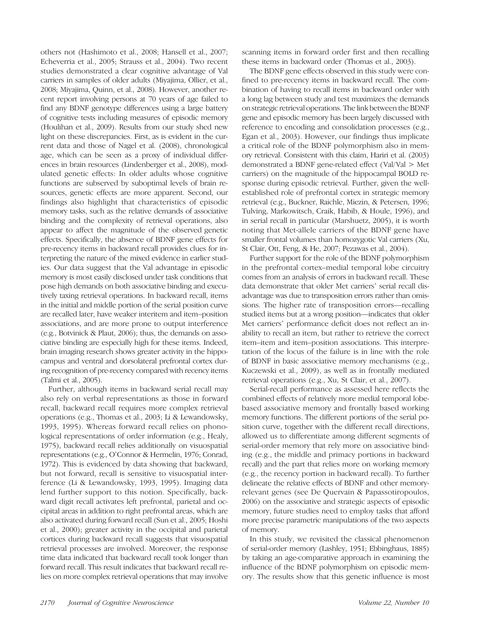others not (Hashimoto et al., 2008; Hansell et al., 2007; Echeverria et al., 2005; Strauss et al., 2004). Two recent studies demonstrated a clear cognitive advantage of Val carriers in samples of older adults (Miyajima, Ollier, et al., 2008; Miyajima, Quinn, et al., 2008). However, another recent report involving persons at 70 years of age failed to find any BDNF genotype differences using a large battery of cognitive tests including measures of episodic memory (Houlihan et al., 2009). Results from our study shed new light on these discrepancies. First, as is evident in the current data and those of Nagel et al. (2008), chronological age, which can be seen as a proxy of individual differences in brain resources (Lindenberger et al., 2008), modulated genetic effects: In older adults whose cognitive functions are subserved by suboptimal levels of brain resources, genetic effects are more apparent. Second, our findings also highlight that characteristics of episodic memory tasks, such as the relative demands of associative binding and the complexity of retrieval operations, also appear to affect the magnitude of the observed genetic effects. Specifically, the absence of BDNF gene effects for pre-recency items in backward recall provides clues for interpreting the nature of the mixed evidence in earlier studies. Our data suggest that the Val advantage in episodic memory is most easily disclosed under task conditions that pose high demands on both associative binding and executively taxing retrieval operations. In backward recall, items in the initial and middle portion of the serial position curve are recalled later, have weaker interitem and item–position associations, and are more prone to output interference (e.g., Botvinick & Plaut, 2006); thus, the demands on associative binding are especially high for these items. Indeed, brain imaging research shows greater activity in the hippocampus and ventral and dorsolateral prefrontal cortex during recognition of pre-recency compared with recency items (Talmi et al., 2005).

Further, although items in backward serial recall may also rely on verbal representations as those in forward recall, backward recall requires more complex retrieval operations (e.g., Thomas et al., 2003; Li & Lewandowsky, 1993, 1995). Whereas forward recall relies on phonological representations of order information (e.g., Healy, 1975), backward recall relies additionally on visuospatial representations (e.g., O'Connor & Hermelin, 1976; Conrad, 1972). This is evidenced by data showing that backward, but not forward, recall is sensitive to visuospatial interference (Li & Lewandowsky, 1993, 1995). Imaging data lend further support to this notion. Specifically, backward digit recall activates left prefrontal, parietal and occipital areas in addition to right prefrontal areas, which are also activated during forward recall (Sun et al., 2005; Hoshi et al., 2000); greater activity in the occipital and parietal cortices during backward recall suggests that visuospatial retrieval processes are involved. Moreover, the response time data indicated that backward recall took longer than forward recall. This result indicates that backward recall relies on more complex retrieval operations that may involve

scanning items in forward order first and then recalling these items in backward order (Thomas et al., 2003).

The BDNF gene effects observed in this study were confined to pre-recency items in backward recall. The combination of having to recall items in backward order with a long lag between study and test maximizes the demands on strategic retrieval operations. The link between the BDNF gene and episodic memory has been largely discussed with reference to encoding and consolidation processes (e.g., Egan et al., 2003). However, our findings thus implicate a critical role of the BDNF polymorphism also in memory retrieval. Consistent with this claim, Hariri et al. (2003) demonstrated a BDNF gene-related effect (Val/Val > Met carriers) on the magnitude of the hippocampal BOLD response during episodic retrieval. Further, given the wellestablished role of prefrontal cortex in strategic memory retrieval (e.g., Buckner, Raichle, Miezin, & Petersen, 1996; Tulving, Markowitsch, Craik, Habib, & Houle, 1996), and in serial recall in particular (Marshuetz, 2005), it is worth noting that Met-allele carriers of the BDNF gene have smaller frontal volumes than homozygotic Val carriers (Xu, St Clair, Ott, Feng, & He, 2007; Pezawas et al., 2004).

Further support for the role of the BDNF polymorphism in the prefrontal cortex–medial temporal lobe circuitry comes from an analysis of errors in backward recall. These data demonstrate that older Met carriers' serial recall disadvantage was due to transposition errors rather than omissions. The higher rate of transposition errors—recalling studied items but at a wrong position—indicates that older Met carriers' performance deficit does not reflect an inability to recall an item, but rather to retrieve the correct item–item and item–position associations. This interpretation of the locus of the failure is in line with the role of BDNF in basic associative memory mechanisms (e.g., Kuczewski et al., 2009), as well as in frontally mediated retrieval operations (e.g., Xu, St Clair, et al., 2007).

Serial-recall performance as assessed here reflects the combined effects of relatively more medial temporal lobebased associative memory and frontally based working memory functions. The different portions of the serial position curve, together with the different recall directions, allowed us to differentiate among different segments of serial-order memory that rely more on associative binding (e.g., the middle and primacy portions in backward recall) and the part that relies more on working memory (e.g., the recency portion in backward recall). To further delineate the relative effects of BDNF and other memoryrelevant genes (see De Quervain & Papassotiropoulos, 2006) on the associative and strategic aspects of episodic memory, future studies need to employ tasks that afford more precise parametric manipulations of the two aspects of memory.

In this study, we revisited the classical phenomenon of serial-order memory (Lashley, 1951; Ebbinghaus, 1885) by taking an age-comparative approach in examining the influence of the BDNF polymorphism on episodic memory. The results show that this genetic influence is most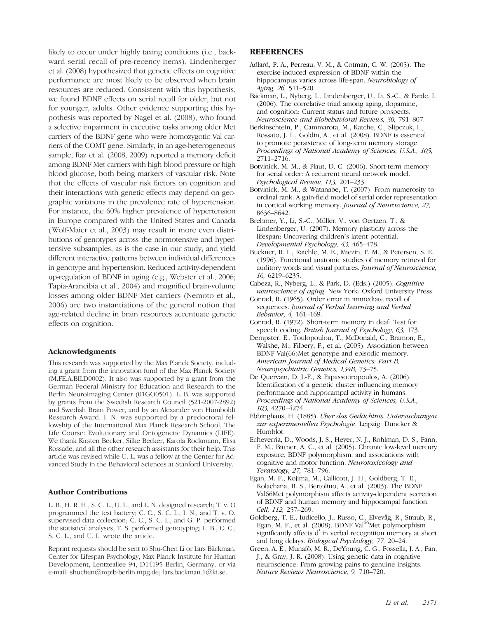likely to occur under highly taxing conditions (i.e., backward serial recall of pre-recency items). Lindenberger et al. (2008) hypothesized that genetic effects on cognitive performance are most likely to be observed when brain resources are reduced. Consistent with this hypothesis, we found BDNF effects on serial recall for older, but not for younger, adults. Other evidence supporting this hypothesis was reported by Nagel et al. (2008), who found a selective impairment in executive tasks among older Met carriers of the BDNF gene who were homozygotic Val carriers of the COMT gene. Similarly, in an age-heterogeneous sample, Raz et al. (2008, 2009) reported a memory deficit among BDNF Met carriers with high blood pressure or high blood glucose, both being markers of vascular risk. Note that the effects of vascular risk factors on cognition and their interactions with genetic effects may depend on geographic variations in the prevalence rate of hypertension. For instance, the 60% higher prevalence of hypertension in Europe compared with the United States and Canada (Wolf-Maier et al., 2003) may result in more even distributions of genotypes across the normotensive and hypertensive subsamples, as is the case in our study, and yield different interactive patterns between individual differences in genotype and hypertension. Reduced activity-dependent up-regulation of BDNF in aging (e.g., Webster et al., 2006; Tapia-Arancibia et al., 2004) and magnified brain-volume losses among older BDNF Met carriers (Nemoto et al., 2006) are two instantiations of the general notion that age-related decline in brain resources accentuate genetic effects on cognition.

## Acknowledgments

This research was supported by the Max Planck Society, including a grant from the innovation fund of the Max Planck Society (M.FE.A.BILD0002). It also was supported by a grant from the German Federal Ministry for Education and Research to the Berlin NeuroImaging Center (01GO0501). L. B. was supported by grants from the Swedish Research Council (521-2007-2892) and Swedish Brain Power, and by an Alexander von Humboldt Research Award. I. N. was supported by a predoctoral fellowship of the International Max Planck Research School, The Life Course: Evolutionary and Ontogenetic Dynamics (LIFE). We thank Kirsten Becker, Silke Becker, Karola Rockmann, Elisa Rossade, and all the other research assistants for their help. This article was revised while U. L. was a fellow at the Center for Advanced Study in the Behavioral Sciences at Stanford University.

## Author Contributions

L. B., H. R. H., S. C. L., U. L., and L. N. designed research; T. v. O programmed the test battery; C. C., S. C. L., I. N., and T. v. O. supervised data collection; C. C., S. C. L., and G. P. performed the statistical analyses; T. S. performed genotyping; L. B., C. C., S. C. L., and U. L. wrote the article.

Reprint requests should be sent to Shu-Chen Li or Lars Bäckman, Center for Lifespan Psychology, Max Planck Institute for Human Development, Lentzeallee 94, D14195 Berlin, Germany, or via e-mail: shuchen@mpib-berlin.mpg.de; lars.backman.1@ki.se.

# **REFERENCES**

- Adlard, P. A., Perreau, V. M., & Cotman, C. W. (2005). The exercise-induced expression of BDNF within the hippocampus varies across life-span. Neurobiology of Aging, 26, 511–520.
- Bäckman, L., Nyberg, L., Lindenberger, U., Li, S.-C., & Farde, L. (2006). The correlative triad among aging, dopamine, and cognition: Current status and future prospects. Neuroscience and Biobehavioral Reviews, 30, 791–807.
- Berkinschtein, P., Cammarota, M., Katche, C., Slipczuk, L., Rossato, J. L., Goldin, A., et al. (2008). BDNF is essential to promote persistence of long-term memory storage. Proceedings of National Academy of Sciences, U.S.A., 105, 2711–2716.
- Botvinick, M. M., & Plaut, D. C. (2006). Short-term memory for serial order: A recurrent neural network model. Psychological Review, 113, 201–233.
- Botvinick, M. M., & Watanabe, T. (2007). From numerosity to ordinal rank: A gain-field model of serial order representation in cortical working memory. Journal of Neuroscience, 27, 8636–8642.
- Brehmer, Y., Li, S.-C., Müller, V., von Oertzen, T., & Lindenberger, U. (2007). Memory plasticity across the lifespan: Uncovering children's latent potential. Developmental Psychology, 43, 465–478.
- Buckner, R. L., Raichle, M. E., Miezin, F. M., & Petersen, S. E. (1996). Functional anatomic studies of memory retrieval for auditory words and visual pictures. Journal of Neuroscience, 16, 6219–6235.
- Cabeza, R., Nyberg, L., & Park, D. (Eds.) (2005). Cognitive neuroscience of aging. New York: Oxford University Press.
- Conrad, R. (1965). Order error in immediate recall of sequences. Journal of Verbal Learning and Verbal Behavior, 4, 161–169.
- Conrad, R. (1972). Short-term memory in deaf: Test for speech coding. British Journal of Psychology, 63, 173.
- Dempster, E., Toulopoulou, T., McDonald, C., Bramon, E., Walshe, M., Filbery, F., et al. (2005). Association between BDNF Val(66)Met genotype and episodic memory. American Journal of Medical Genetics: Part B, Neuropsychiatric Genetics, 134B, 73–75.
- De Quervain, D. J.-F., & Papassotiropoulos, A. (2006). Identification of a genetic cluster influencing memory performance and hippocampal activity in humans. Proceedings of National Academy of Sciences, U.S.A., 103, 4270–4274.
- Ebbinghaus, H. (1885). Über das Gedächtnis. Untersuchungen zur experimentellen Psychologie. Leipzig: Duncker & Humblot.
- Echeverria, D., Woods, J. S., Heyer, N. J., Rohlman, D. S., Fann, F. M., Bittner, A. C., et al. (2005). Chronic low-level mercury exposure, BDNF polymorphism, and associations with cognitive and motor function. Neurotoxicology and Teratology, 27, 781–796.
- Egan, M. F., Kojima, M., Callicott, J. H., Goldberg, T. E., Kolachana, B. S., Bertolino, A., et al. (2003). The BDNF Val66Met polymorphism affects activity-dependent secretion of BDNF and human memory and hippocampal function. Cell, 112, 257–269.
- Goldberg, T. E., Iudicello, J., Russo, C., Elvevåg, R., Straub, R., Egan, M. F., et al.  $(2008)$ . BDNF Val<sup>66</sup>Met polymorphism significantly affects d' in verbal recognition memory at short and long delays. Biological Psychology, 77, 20–24.
- Green, A. E., Munafò, M. R., DeYoung, C. G., Fossella, J. A., Fan, J., & Gray, J. R. (2008). Using genetic data in cognitive neuroscience: From growing pains to genuine insights. Nature Reviews Neuroscience, 9, 710–720.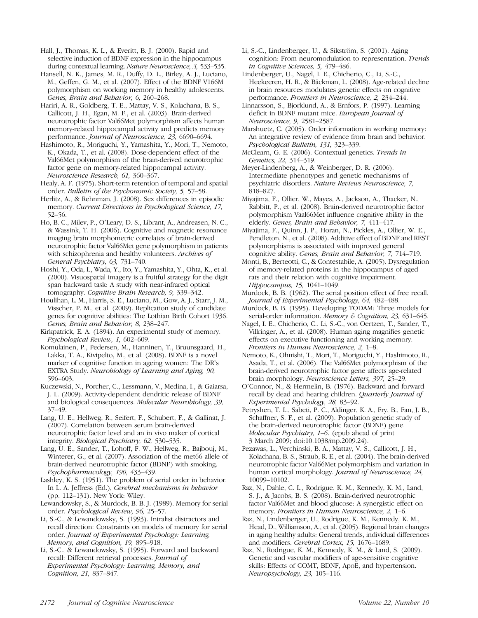Hall, J., Thomas, K. L., & Everitt, B. J. (2000). Rapid and selective induction of BDNF expression in the hippocampus during contextual learning. Nature Neuroscience, 3, 533-535.

Hansell, N. K., James, M. R., Duffy, D. L., Birley, A. J., Luciano, M., Geffen, G. M., et al. (2007). Effect of the BDNF V166M polymorphism on working memory in healthy adolescents. Genes, Brain and Behavior, 6, 260–268.

Hariri, A. R., Goldberg, T. E., Mattay, V. S., Kolachana, B. S., Callicott, J. H., Egan, M. F., et al. (2003). Brain-derived neurotrophic factor Val66Met polymorphism affects human memory-related hippocampal activity and predicts memory performance. Journal of Neuroscience, 23, 6690–6694.

Hashimoto, R., Moriguchi, Y., Yamashita, Y., Mori, T., Nemoto, K., Okada, T., et al. (2008). Dose-dependent effect of the Val66Met polymorphism of the brain-derived neurotrophic factor gene on memory-related hippocampal activity. Neuroscience Research, 61, 360–367.

Healy, A. F. (1975). Short-term retention of temporal and spatial order. Bulletin of the Psychonomic Society, 5, 57–58.

Herlitz, A., & Rehnman, J. (2008). Sex differences in episodic memory. Current Directions in Psychological Science, 17, 52–56.

Ho, B. C., Milev, P., O'Leary, D. S., Librant, A., Andreasen, N. C., & Wassink, T. H. (2006). Cognitive and magnetic resonance imaging brain morphometric correlates of brain-derived neurotrophic factor Val66Met gene polymorphism in patients with schizophrenia and healthy volunteers. Archives of General Psychiatry, 63, 731–740.

Hoshi, Y., Oda, I., Wada, Y., Ito, Y., Yamashita, Y., Ohta, K., et al. (2000). Visuospatial imagery is a fruitful strategy for the digit span backward task: A study with near-infrared optical tomography. Cognitive Brain Research, 9, 339–342.

Houlihan, L. M., Harris, S. E., Luciano, M., Gow, A. J., Starr, J. M., Visscher, P. M., et al. (2009). Replication study of candidate genes for cognitive abilities: The Lothian Birth Cohort 1936. Genes, Brain and Behavior, 8, 238–247.

Kirkpatrick, E. A. (1894). An experimental study of memory. Psychological Review, 1, 602–609.

Komulainen, P., Pedersen, M., Hanninen, T., Bruunsgaard, H., Lakka, T. A., Kivipelto, M., et al. (2008). BDNF is a novel marker of cognitive function in ageing women: The DR's EXTRA Study. Neurobiology of Learning and Aging, 90, 596–603.

Kuczewski, N., Porcher, C., Lessmann, V., Medina, I., & Gaiarsa, J. L. (2009). Activity-dependent dendritic release of BDNF and biological consequences. Molecular Neurobiology, 39, 37–49.

Lang, U. E., Hellweg, R., Seifert, F., Schubert, F., & Gallinat, J. (2007). Correlation between serum brain-derived neurotrophic factor level and an in vivo maker of cortical integrity. Biological Psychiatry, 62, 530–535.

Lang, U. E., Sander, T., Lohoff, F. W., Hellweg, R., Bajbouj, M., Winterer, G., et al. (2007). Association of the met66 allele of brain-derived neurotrophic factor (BDNF) with smoking. Psychopharmacology, 190, 433–439.

Lashley, K. S. (1951). The problem of serial order in behavior. In L. A. Jeffress (Ed.), Cerebral mechanisms in behavior (pp. 112–131). New York: Wiley.

Lewandowsky, S., & Murdock, B. B. J. (1989). Memory for serial order. Psychological Review, 96, 25–57.

Li, S.-C., & Lewandowsky, S. (1993). Intralist distractors and recall direction: Constraints on models of memory for serial order. Journal of Experimental Psychology: Learning, Memory, and Cognition, 19, 895-918.

Li, S.-C., & Lewandowsky, S. (1995). Forward and backward recall: Different retrieval processes. Journal of Experimental Psychology: Learning, Memory, and Cognition, 21, 837–847.

Li, S.-C., Lindenberger, U., & Sikström, S. (2001). Aging cognition: From neuromodulation to representation. Trends in Cognitive Sciences, 5, 479–486.

Lindenberger, U., Nagel, I. E., Chicherio, C., Li, S.-C., Heekeeren, H. R., & Bäckman, L. (2008). Age-related decline in brain resources modulates genetic effects on cognitive performance. Frontiers in Neuroscience, 2, 234–244.

Linnarsson, S., Bjorklund, A., & Ernfors, P. (1997). Learning deficit in BDNF mutant mice. European Journal of Neuroscience, 9, 2581–2587.

Marshuetz, C. (2005). Order information in working memory: An integrative review of evidence from brain and behavior. Psychological Bulletin, 131, 323–339.

McClearn, G. E. (2006). Contextual genetics. Trends in Genetics, 22, 314–319.

Meyer-Lindenberg, A., & Weinberger, D. R. (2006). Intermediate phenotypes and genetic mechanisms of psychiatric disorders. Nature Reviews Neuroscience, 7, 818–827.

Miyajima, F., Ollier, W., Mayes, A., Jackson, A., Thacker, N., Rabbitt, P., et al. (2008). Brain-derived neurotrophic factor polymorphism Vaal66Met influence cognitive ability in the elderly. Genes, Brain and Behavior, 7, 411–417.

Miyajima, F., Quinn, J. P., Horan, N., Pickles, A., Ollier, W. E., Pendleton, N., et al. (2008). Additive effect of BDNF and REST polymorphisms is associated with improved general cognitive ability. Genes, Brain and Behavior, 7, 714–719.

Monti, B., Berteotti, C., & Contestabile, A. (2005). Dysregulation of memory-related proteins in the hippocampus of aged rats and their relation with cognitive impairment. Hippocampus, 15, 1041–1049.

Murdock, B. B. (1962). The serial position effect of free recall. Journal of Experimental Psychology, 64, 482–488.

Murdock, B. B. (1995). Developing TODAM: Three models for serial-order information. Memory & Cognition, 23, 631-645.

Nagel, I. E., Chicherio, C., Li, S.-C., von Oertzen, T., Sander, T., Villringer, A., et al. (2008). Human aging magnifies genetic effects on executive functioning and working memory. Frontiers in Human Neuroscience, 2, 1–8.

Nemoto, K., Ohnishi, T., Mori, T., Moriguchi, Y., Hashimoto, R., Asada, T., et al. (2006). The Val66Met polymorphism of the brain-derived neurotrophic factor gene affects age-related brain morphology. Neuroscience Letters, 397, 25–29.

O'Connor, N., & Hermelin, B. (1976). Backward and forward recall by dead and hearing children. Quarterly Journal of Experimental Psychology, 28, 83–92.

Petryshen, T. L., Sabeti, P. C., Aldinger, K. A., Fry, B., Fan, J. B., Schaffner, S. F., et al. (2009). Population genetic study of the brain-derived neurotrophic factor (BDNF) gene. Molecular Psychiatry, 1–6. (epub ahead of print 3 March 2009; doi:10.1038/mp.2009.24).

Pezawas, L., Verchinski, B. A., Mattay, V. S., Callicott, J. H., Kolachana, B. S., Straub, R. E., et al. (2004). The brain-derived neurotrophic factor Val66Met polymorphism and variation in human cortical morphology. Journal of Neuroscience, 24, 10099–10102.

Raz, N., Dahle, C. L., Rodrigue, K. M., Kennedy, K. M., Land, S. J., & Jacobs, B. S. (2008). Brain-derived neurotrophic factor Val66Met and blood glucose: A synergistic effect on memory. Frontiers in Human Neuroscience, 2, 1-6.

Raz, N., Lindenberger, U., Rodrigue, K. M., Kennedy, K. M., Head, D., Williamson, A., et al. (2005). Regional brain changes in aging healthy adults: General trends, individual differences and modifiers. Cerebral Cortex, 15, 1676–1689.

Raz, N., Rodrigue, K. M., Kennedy, K. M., & Land, S. (2009). Genetic and vascular modifiers of age-sensitive cognitive skills: Effects of COMT, BDNF, ApoE, and hypertension. Neuropsychology, 23, 105–116.